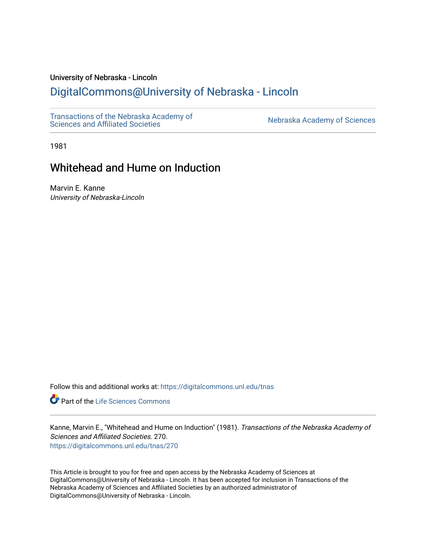# University of Nebraska - Lincoln

# [DigitalCommons@University of Nebraska - Lincoln](https://digitalcommons.unl.edu/)

[Transactions of the Nebraska Academy of](https://digitalcommons.unl.edu/tnas)  Transactions of the Nebraska Academy of Sciences<br>Sciences and Affiliated Societies

1981

# Whitehead and Hume on Induction

Marvin E. Kanne University of Nebraska-Lincoln

Follow this and additional works at: [https://digitalcommons.unl.edu/tnas](https://digitalcommons.unl.edu/tnas?utm_source=digitalcommons.unl.edu%2Ftnas%2F270&utm_medium=PDF&utm_campaign=PDFCoverPages) 

Part of the [Life Sciences Commons](http://network.bepress.com/hgg/discipline/1016?utm_source=digitalcommons.unl.edu%2Ftnas%2F270&utm_medium=PDF&utm_campaign=PDFCoverPages) 

Kanne, Marvin E., "Whitehead and Hume on Induction" (1981). Transactions of the Nebraska Academy of Sciences and Affiliated Societies. 270. [https://digitalcommons.unl.edu/tnas/270](https://digitalcommons.unl.edu/tnas/270?utm_source=digitalcommons.unl.edu%2Ftnas%2F270&utm_medium=PDF&utm_campaign=PDFCoverPages) 

This Article is brought to you for free and open access by the Nebraska Academy of Sciences at DigitalCommons@University of Nebraska - Lincoln. It has been accepted for inclusion in Transactions of the Nebraska Academy of Sciences and Affiliated Societies by an authorized administrator of DigitalCommons@University of Nebraska - Lincoln.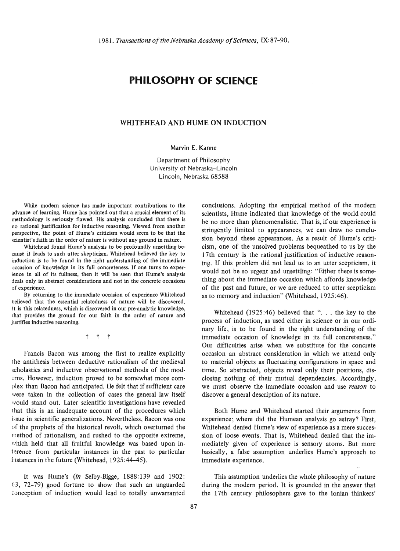# **PHILOSOPHY OF SCIENCE**

## WHITEHEAD AND HUME ON INDUCTION

#### Marvin E. Kanne

Department of Philosophy University of Nebraska-Lincoln Lincoln, Nebraska 68588

While modem science has made important contributions to the while modern science has made important contributions to the  $\frac{1}{2}$  is seen in a limit of the political out that a crucial citizen of its seriously definition is analysis concluded that there is methodology is seriously flawed. His analysis concluded that there is no rational justification for inductive reasoning. Viewed from another perspective, the point of Hume's criticism would seem to be that the scientist's faith in the order of nature is without any ground in nature.

Whitehead found Hume's analysis to be profoundly unsettling because it leads to such utter skepticism. Whitehead believed the key to  $\mu$  duction is to be found in the right understanding of the immediate duction is to be found in the right understanding of the immediate occasion of knowledge in its full concreteness. If one turns to experience in all of its fullness, then it will be seen that Hume's analysis deals only in abstract considerations and not in the concrete occasions of experience. By returning to the immediate occasion of experience Whitehead

by returning to the immediate occasion of experience winterlead. believed that the essential relatedness of nature will be discovered.<br>It is this relatedness, which is discovered in our pre-analytic knowledge, that the ground for our faith in the order of nature and at provides the ground for

t t t

Francis Bacon was among the first to realize explicitly the antithesis between deductive rationalism of the medieval scholastics and inductive observational methods of the moderns. However, induction proved to be somewhat more complex than Bacon had anticipated. He felt that if sufficient care were taken in the collection of cases the general law itself would stand out. Later scientific investigations have revealed that this is an inadequate account of the procedures which issue in scientific generalizations. Nevertheless, Bacon was one of the prophets of the historical revolt, which overturned the method of rationalism, and rushed to the opposite extreme, which held that all fruitful knowledge was based upon inference from particular instances in the past to particular instances in the future (Whitehead, 1925:44-45).

It was Hume's *(in* Selby-Bigge, 1888:139 and 1902:  $(3, 72-79)$  good fortune to show that such an unguarded conception of induction would lead to totally unwarranted

conclusions. Adopting the empirical method of the modern scientists, Hume indicated that knowledge of the world could be no more than phenomenalistic. That is, if our experience is stringently limited to appearances, we can draw no conclusion beyond these appearances. As a result of Hume's criticism, one of the unsolved problems bequeathed to us by the 17th century is the rational justification of inductive reasoning. If this problem did not lead us to an utter scepticism, it would not be so urgent and unsettling: "Either there is something about the immediate occasion which affords knowledge of the past and future, or we are reduced to utter scepticism as to memory and induction" (Whitehead, 1925:46).

Whitehead  $(1925:46)$  believed that "... the key to the process of induction, as used either in science or in our ordinary life, is to be found in the right understanding of the immediate occasion of knowledge in its full concreteness." Our difficulties arise when we substitute for the concrete occasion an abstract consideration in which we attend only to material objects as fluctuating configurations in space and time. So abstracted, objects reveal only their positions, disclosing nothing of their mutual dependencies. Accordingly, we must observe the immediate occasion and use *reason* to discover a general description of its nature.

Both Hume and Whitehead started their arguments from experience; where did the Humean analysis go astray? First, Whitehead denied Hume's view of experience as a mere succession of loose events. That is, Whitehead denied that the immediately given of experience is sensory atoms. But more basically, a false assumption underlies Hume's approach to immediate experience.

This assumption underlies the whole philosophy of nature during the modern period. It is grounded in the answer that the 17th century philosophers gave to the Ionian thinkers'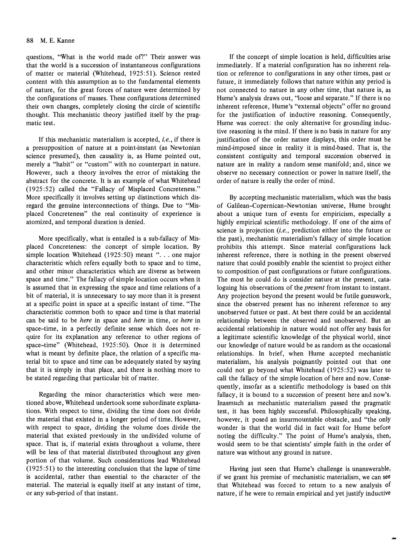### 88 M. E. Kanne

questions, "What is the world made of?" Their answer was that the world is a succession of instantaneous configurations of matter or material (Whitehead, 1925:51). Science rested content with this assumption as to the fundamental elements of nature, for the great forces of nature were determined by the configurations of masses. These configurations determined their own changes, completely closing the circle of scientific thought. This mechanistic theory justified itself by the pragmatic test.

If this mechanistic materialism is accepted, *i. e.,* if there is a presupposition of nature at a point-instant (as Newtonian science presumed), then causality is, as Hume pointed out, merely a "habit" or "custom" with no counterpart in nature. However, such a theory involves the error of mistaking the abstract for the concrete. It is an example of what Whitehead (1925 :52) called the "Fallacy of Misplaced Concreteness." More specifically it involves setting up distinctions which disregard the genuine interconnections of things. Due to "Misplaced Concreteness" the real continuity of experience is atomized, and temporal duration is denied.

More specifically, what is entailed is a sub-fallacy of Mismore specifically, what is entance is a set randely of mis-<br>aced Concreteness: the concept of simple location. By<br>mple location Whitehead (1925:50) meant "... one major simple location Whitehead (1925:50) meant " $\dots$  one major characteristic which refers equally both to space and to time, and other minor characteristics which are diverse as between space and time." The fallacy of simple location occurs when it is assumed that in expressing the space and time relations of a bit of material, it is unnecessary to say more than it is present at a specific point in space at a specific instant of time. "The characteristic common both to space and time is that material can be said to be *here* in space and *here* in time, or *here* in space-time, in a perfectly definite sense which does not require for its explanation any reference to other regions of space-time" (Whitehead, 1925:50). Once it is determined what is meant by definite place, the relation of a specific material bit to space and time can be adequately stated by saying that it is simply in that place, and there is nothing more to be stated regarding that particular bit of matter.

Regarding the minor characteristics which were mentioned above, Whitehead undertook some subordinate explanations. With respect to time, dividing the time does not divide the material that existed in a longer period of time. However, with respect to space, dividing the volume does divide the material that existed previously in the undivided volume of space. That is, if material exists throughout a volume, there will be less of that material distributed throughout any given portion of that volume. Such considerations lead Whitehead  $(1925:51)$  to the interesting conclusion that the lapse of time is accidental, rather than essential to the character of the material. The material is equally itself at any instant of time, or any sub-period of that instant.

If the concept of simple location is held, difficulties arise immediately. If a material configuration has no inherent relation or reference to configurations in any other times, past or future, it immediately follows that nature within any period is not connected to nature in any other time, that nature is, as Hume's analysis draws out, "loose and separate." If there is no inherent reference, Hume's "external objects" offer no ground for the justification of inductive reasoning. Consequently, Hume was correct: the only alternative for grounding inductive reasoning is the mind. If there is no basis in nature for any justification of the order nature displays, this order must be mind-imposed since in reality it is mind-based. That is, the consistent contiguity and temporal succession observed in nature are in reality a random sense manifold; and, since we observe no necessary connection or power in nature itself, the order of nature is really the order of mind.

By accepting mechanistic materialism, which was the basis of Galilean-Copernican-Newtonian universe, Hume brought about a unique turn of events for empiricism, especially a highly empirical scientific methodology. If one of the aims of science is projection *(i.e.,* prediction either into the future or the past), mechanistic materialism's fallacy of simple location prohibits this attempt. Since material configurations lack inherent reference, there is nothing in the present observed nature that could possiblY enable the scientist to project either to composition of past configurations or future configurations. The most he could do is consider nature at the present, cataloguing his observations of the *present* from instant to instant. Any projection beyond the present would be futile guesswork, since the observed present has no inherent reference to any unobserved future or past. At best there could be an accidental relationship between the observed and unobserved. But an accidental relationship in nature would not offer any basis for a legitimate scientific knowledge of the physical world, since our knowledge of nature would be as random as the occasional relationships. **In** brief, when Hume accepted mechanistic materialism, his analysis poignantly pointed out that one could not go beyond what Whitehead (1925:52) was later to call the fallacy of the simple location of here and now. Consequently, insofar as a scientific methodology is based on this fallacy, it is bound to a succession of present here and now's. Inasmuch as mechanistic materialism passed the pragmatic test, it has been highly successful. Philosophically speaking, however, it posed an insurmountable obstacle, and "the only wonder is that the world did in fact wait for Hume before noting the difficulty." The point of Hume's analysis, then, would seem to be that scientists' simple faith in the order of nature was without any ground in nature.

Having just seen that Hume's challenge is unanswerable, if we grant his premise of mechanistic materialism, we can see that Whitehead was forced to return to a new analysis of nature, if he were to remain empirical and yet justify inductive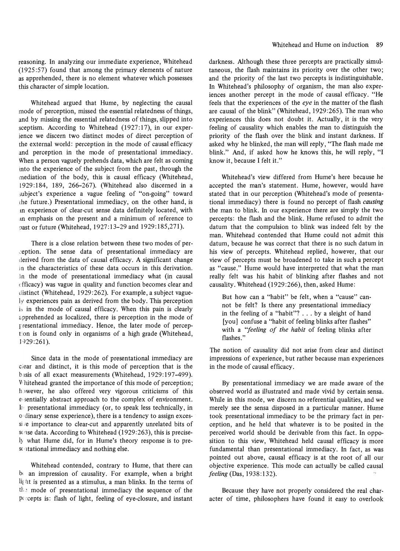reasoning. In analyzing our immediate experience, Whitehead (1925:57) found that among the primary elements of nature as apprehended, there is no element whatever which possesses this character of simple location.

Whitehead argued that Hume, by neglecting the causal mode of perception, missed the essential relatedness of things, and by missing the essential relatedness of things, slipped into sceptism. According to Whitehead  $(1927:17)$ , in our experience we discern two distinct modes of direct perception of the external world: perception in the mode of causal efficacy and perception in the mode of presentational immediacy. When a person vaguely prehends data, which are felt as coming into the experience of the subject from the past, through the mediation of the body, this is causal efficacy (Whitehead, 1929: 184, 189, 266-267). (Whitehead also discerned in a subject's experience a vague feeling of "on-going" toward the future.) Presentational immediacy, on the other hand, is an experience of clear-cut sense data definitely located, with an emphasis on the present and a minimum of reference to past or future (Whitehead, 1927:13-29 and 1929:185,271).

There is a close relation between these two modes of per- .:eption. The sense data of presentational immediacy are derived from the data of causal efficacy. A significant change m the characteristics of these data occurs in this derivation. In the mode of presentational immediacy what (in causal efficacy) was vague in quality and function becomes clear and distinct (Whitehead, 1929:262). For example, a subject vaguely experiences pain as derived from the body. This perception is in the mode of causal efficacy. When this pain is clearly apprehended as localized, there is perception in the mode of r resentational immediacy. Hence, the later mode of perception is found only in organisms of a high grade (Whitehead, ] 929:261).

Since data in the mode of presentational immediacy are ciear and distinct, it is this mode of perception that is the basis of all exact measurements (Whitehead, 1929:197-499). Vhitehead granted the importance of this mode of perception; however, he also offered very vigorous criticisms of this e: sentially abstract approach to the complex of environment. I<sub>I</sub> presentational immediacy (or, to speak less technically, in o dinary sense experience), there is a tendency to assign excessi<sub>/e</sub> importance to clear-cut and apparently unrelated bits of sense data. According to Whitehead (1929:263), this is precisely what Hume did, for in Hume's theory response is to prest itational immediacy and nothing else.

Whitehead contended, contrary to Hume, that there can  $b<sub>t</sub>$  an impression of causality. For example, when a bright light is presented as a stimulus, a man blinks. In the terms of the mode of presentational immediacy the sequence of the pecepts is: flash of light, feeling of eye-closure, and instant darkness. Although these three percepts are practically simultaneous, the flash maintains its priority over the other two; and the priority of the last two percepts is indistinguishable. In Whitehead's philosophy of organism, the man also experiences another percept in the mode of causal efficacy. "He feels that the experiences of the *eye* in the matter of the flash are causal of the blink" (Whitehead, 1929:265). The man who experiences this does not doubt it. Actually, it is the very feeling of causality which enables the man to distinguish the priority of the flash over the blink and instant darkness. If asked why he blinked, the man will reply, "The flash made me blink." And, if asked how he knows this, he will reply, "I know it, because I felt it."

Whitehead's view differed from Hume's here because he accepted the man's statement. Hume, however, would have stated that in our perception (Whitehead's mode of presentational immediacy) there is found no percept of flash *causing*  the man to blink. In our experience there are simply the two percepts: the flash and the blink. Hume refused to admit the datum that the compulsion to blink was indeed felt by the man. Whitehead contended that Hume could not admit this datum, because he was correct that there is no such datum in his view of percepts. Whitehead replied, however, that our view of percepts must be broadened to take in such a percept as "cause." Hume would have interpreted that what the man really felt was his habit of blinking after flashes and not causality. Whitehead (1929:266), then, asked Hume:

But how can a "habit" be felt, when a "cause" cannot be felt? Is there any presentational immediacy in the feeling of a "habit"? ... by a sleight of hand [you] confuse a "habit of feeling blinks after flashes" with a *''feeling of the habit* of feeling blinks after flashes."

The notion of causality did not arise from clear and distinct impressions of experience, but rather because man experiences in the mode of causal efficacy.

By presentational immediacy we are made aware of the observed world as illustrated and made vivid by certain sensa. While in this mode, we discern no referential qualities, and we merely see the sensa disposed in a particular manner. Hume took presentational immediacy to be the primary fact in perception, and he held that whatever is to be posited in the perceived world should be derivable from this fact. In opposition to this view, Whitehead held causal efficacy is more fundamental than presentational immediacy. In fact, as was pointed out above, causal efficacy is at the root of all our objective experience. This mode can actually be called causal *feeling* (Das, 1938:132).

Because they have not properly considered the real character of time, philosophers have found it easy to overlook